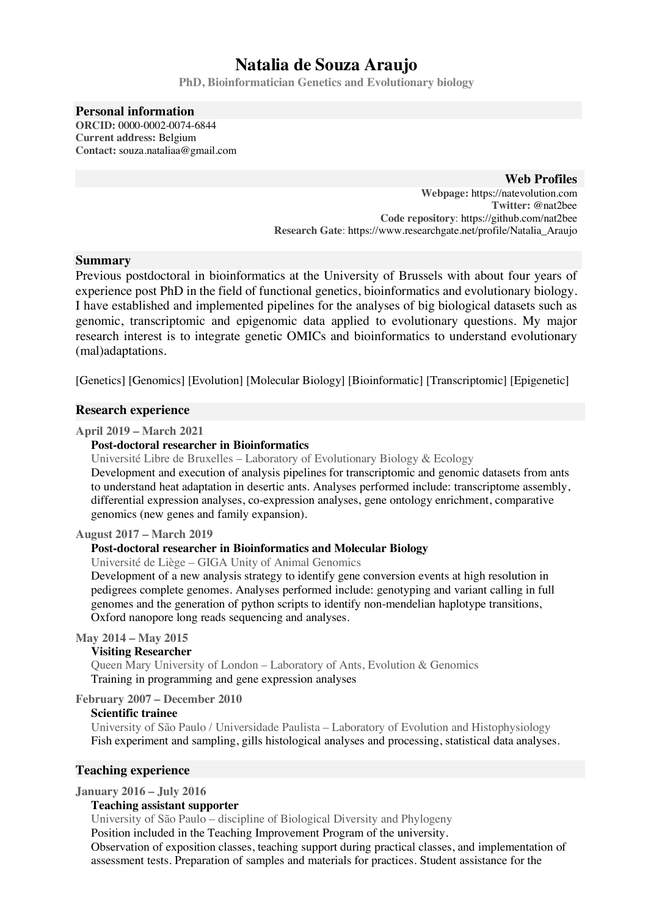# **Natalia de Souza Araujo**

**PhD, Bioinformatician Genetics and Evolutionary biology**

#### **Personal information ORCID:** 0000-0002-0074-6844

**Current address:** Belgium **Contact:** souza.nataliaa@gmail.com

## **Web Profiles**

**Webpage:** https://natevolution.com **Twitter:** @nat2bee **Code repository**: https://github.com/nat2bee **Research Gate**: https://www.researchgate.net/profile/Natalia\_Araujo

## **Summary**

Previous postdoctoral in bioinformatics at the University of Brussels with about four years of experience post PhD in the field of functional genetics, bioinformatics and evolutionary biology. I have established and implemented pipelines for the analyses of big biological datasets such as genomic, transcriptomic and epigenomic data applied to evolutionary questions. My major research interest is to integrate genetic OMICs and bioinformatics to understand evolutionary (mal)adaptations.

[Genetics] [Genomics] [Evolution] [Molecular Biology] [Bioinformatic] [Transcriptomic] [Epigenetic]

#### **Research experience**

#### **April 2019 – March 2021**

#### **Post-doctoral researcher in Bioinformatics**

Université Libre de Bruxelles – Laboratory of Evolutionary Biology & Ecology Development and execution of analysis pipelines for transcriptomic and genomic datasets from ants to understand heat adaptation in desertic ants. Analyses performed include: transcriptome assembly, differential expression analyses, co-expression analyses, gene ontology enrichment, comparative genomics (new genes and family expansion).

**August 2017 – March 2019** 

## **Post-doctoral researcher in Bioinformatics and Molecular Biology**

Université de Liège – GIGA Unity of Animal Genomics

Development of a new analysis strategy to identify gene conversion events at high resolution in pedigrees complete genomes. Analyses performed include: genotyping and variant calling in full genomes and the generation of python scripts to identify non-mendelian haplotype transitions, Oxford nanopore long reads sequencing and analyses.

#### **May 2014 – May 2015**

#### **Visiting Researcher**

Queen Mary University of London – Laboratory of Ants, Evolution & Genomics Training in programming and gene expression analyses

#### **February 2007 – December 2010**

#### **Scientific trainee**

University of São Paulo / Universidade Paulista – Laboratory of Evolution and Histophysiology Fish experiment and sampling, gills histological analyses and processing, statistical data analyses.

## **Teaching experience**

**January 2016 – July 2016**

#### **Teaching assistant supporter**

University of São Paulo – discipline of Biological Diversity and Phylogeny

Position included in the Teaching Improvement Program of the university.

Observation of exposition classes, teaching support during practical classes, and implementation of assessment tests. Preparation of samples and materials for practices. Student assistance for the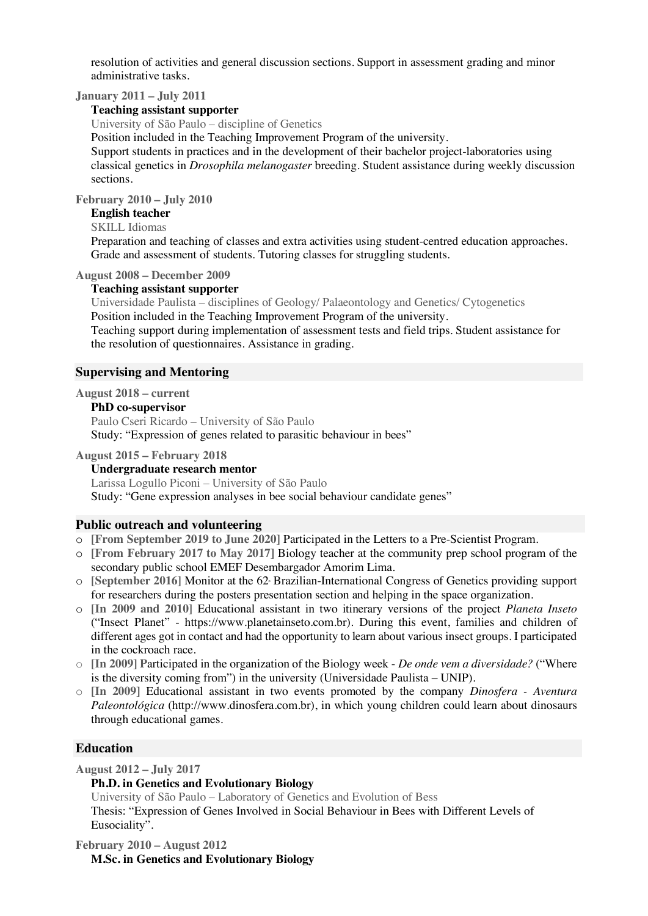resolution of activities and general discussion sections. Support in assessment grading and minor administrative tasks.

**January 2011 – July 2011**

#### **Teaching assistant supporter**

University of São Paulo – discipline of Genetics

Position included in the Teaching Improvement Program of the university.

Support students in practices and in the development of their bachelor project-laboratories using classical genetics in *Drosophila melanogaster* breeding. Student assistance during weekly discussion sections.

**February 2010 – July 2010**

## **English teacher**

SKILL Idiomas

Preparation and teaching of classes and extra activities using student-centred education approaches. Grade and assessment of students. Tutoring classes for struggling students.

## **August 2008 – December 2009**

#### **Teaching assistant supporter**

Universidade Paulista – disciplines of Geology/ Palaeontology and Genetics/ Cytogenetics Position included in the Teaching Improvement Program of the university.

Teaching support during implementation of assessment tests and field trips. Student assistance for the resolution of questionnaires. Assistance in grading.

## **Supervising and Mentoring**

**August 2018 – current** 

#### **PhD co-supervisor**

Paulo Cseri Ricardo – University of São Paulo Study: "Expression of genes related to parasitic behaviour in bees"

#### **August 2015 – February 2018**

## **Undergraduate research mentor**

Larissa Logullo Piconi – University of São Paulo Study: "Gene expression analyses in bee social behaviour candidate genes"

## **Public outreach and volunteering**

- o **[From September 2019 to June 2020]** Participated in the Letters to a Pre-Scientist Program.
- o **[From February 2017 to May 2017]** Biology teacher at the community prep school program of the secondary public school EMEF Desembargador Amorim Lima.
- o **[September 2016]** Monitor at the 62 Brazilian-International Congress of Genetics providing support for researchers during the posters presentation section and helping in the space organization.
- o **[In 2009 and 2010]** Educational assistant in two itinerary versions of the project *Planeta Inseto* ("Insect Planet" - https://www.planetainseto.com.br). During this event, families and children of different ages got in contact and had the opportunity to learn about various insect groups. I participated in the cockroach race.
- o **[In 2009] P**articipated in the organization of the Biology week *De onde vem a diversidade?* ("Where is the diversity coming from") in the university (Universidade Paulista – UNIP).
- o **[In 2009]** Educational assistant in two events promoted by the company *Dinosfera - Aventura Paleontológica* (http://www.dinosfera.com.br), in which young children could learn about dinosaurs through educational games.

## **Education**

**August 2012 – July 2017** 

#### **Ph.D. in Genetics and Evolutionary Biology**

University of São Paulo – Laboratory of Genetics and Evolution of Bess Thesis: "Expression of Genes Involved in Social Behaviour in Bees with Different Levels of Eusociality".

**February 2010 – August 2012 M.Sc. in Genetics and Evolutionary Biology**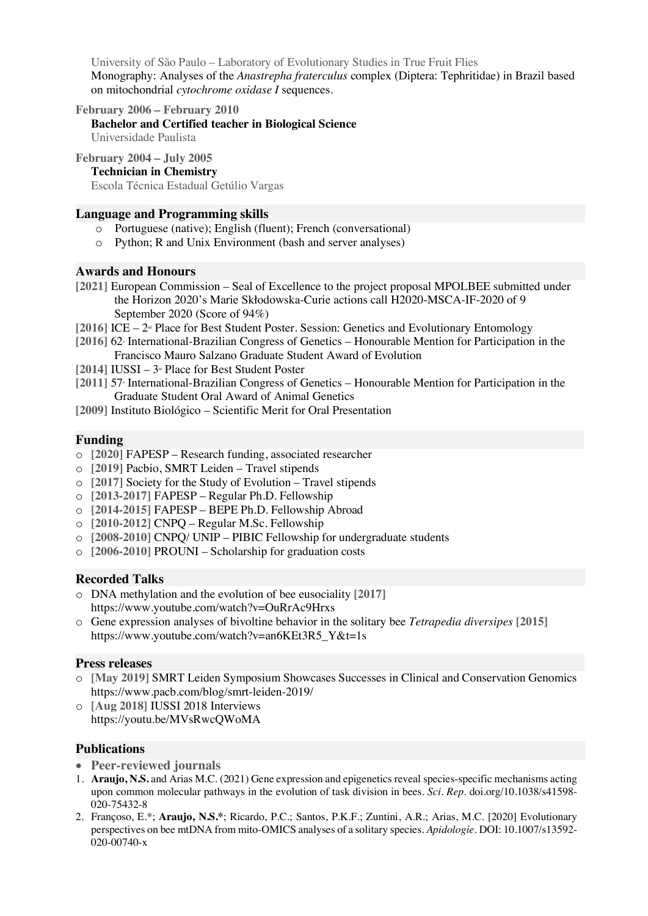University of São Paulo – Laboratory of Evolutionary Studies in True Fruit Flies Monography: Analyses of the *Anastrepha fraterculus* complex (Diptera: Tephritidae) in Brazil based on mitochondrial *cytochrome oxidase I* sequences.

**February 2006 – February 2010 Bachelor and Certified teacher in Biological Science** Universidade Paulista

**February 2004 – July 2005 Technician in Chemistry** Escola Técnica Estadual Getúlio Vargas

## **Language and Programming skills**

- o Portuguese (native); English (fluent); French (conversational)
- o Python; R and Unix Environment (bash and server analyses)

## **Awards and Honours**

- **[2021]** European Commission Seal of Excellence to the project proposal MPOLBEE submitted under the Horizon 2020's Marie Skłodowska-Curie actions call H2020-MSCA-IF-2020 of 9 September 2020 (Score of 94%)
- $[2016]$  ICE  $2<sup>\omega</sup>$  Place for Best Student Poster. Session: Genetics and Evolutionary Entomology
- [2016] 62<sup>*International-Brazilian Congress of Genetics Honourable Mention for Participation in the</sup>* Francisco Mauro Salzano Graduate Student Award of Evolution
- $[2014]$   $[USSI 3<sup>d</sup>]$  Place for Best Student Poster
- **[2011]** 57o International-Brazilian Congress of Genetics Honourable Mention for Participation in the Graduate Student Oral Award of Animal Genetics
- **[2009]** Instituto Biológico Scientific Merit for Oral Presentation

## **Funding**

- o **[2020]** FAPESP Research funding, associated researcher
- o **[2019]** Pacbio, SMRT Leiden Travel stipends
- o **[2017]** Society for the Study of Evolution Travel stipends
- o **[2013-2017]** FAPESP Regular Ph.D. Fellowship
- o **[2014-2015]** FAPESP BEPE Ph.D. Fellowship Abroad
- o **[2010-2012]** CNPQ Regular M.Sc. Fellowship
- o **[2008-2010]** CNPQ/ UNIP PIBIC Fellowship for undergraduate students
- o **[2006-2010]** PROUNI Scholarship for graduation costs

## **Recorded Talks**

- o DNA methylation and the evolution of bee eusociality **[2017]** https://www.youtube.com/watch?v=OuRrAc9Hrxs
- o Gene expression analyses of bivoltine behavior in the solitary bee *Tetrapedia diversipes* **[2015]** https://www.youtube.com/watch?v=an6KEt3R5\_Y&t=1s

## **Press releases**

- o **[May 2019]** SMRT Leiden Symposium Showcases Successes in Clinical and Conservation Genomics https://www.pacb.com/blog/smrt-leiden-2019/
- o **[Aug 2018]** IUSSI 2018 Interviews https://youtu.be/MVsRwcQWoMA

## **Publications**

- **Peer-reviewed journals**
- 1. **Araujo, N.S.** and Arias M.C. (2021) Gene expression and epigenetics reveal species-specific mechanisms acting upon common molecular pathways in the evolution of task division in bees. *Sci. Rep*. doi.org/10.1038/s41598- 020-75432-8
- 2. Françoso, E.\*; **Araujo, N.S.\***; Ricardo, P.C.; Santos, P.K.F.; Zuntini, A.R.; Arias, M.C. [2020] Evolutionary perspectives on bee mtDNA from mito-OMICS analyses of a solitary species. *Apidologie*. DOI: 10.1007/s13592- 020-00740-x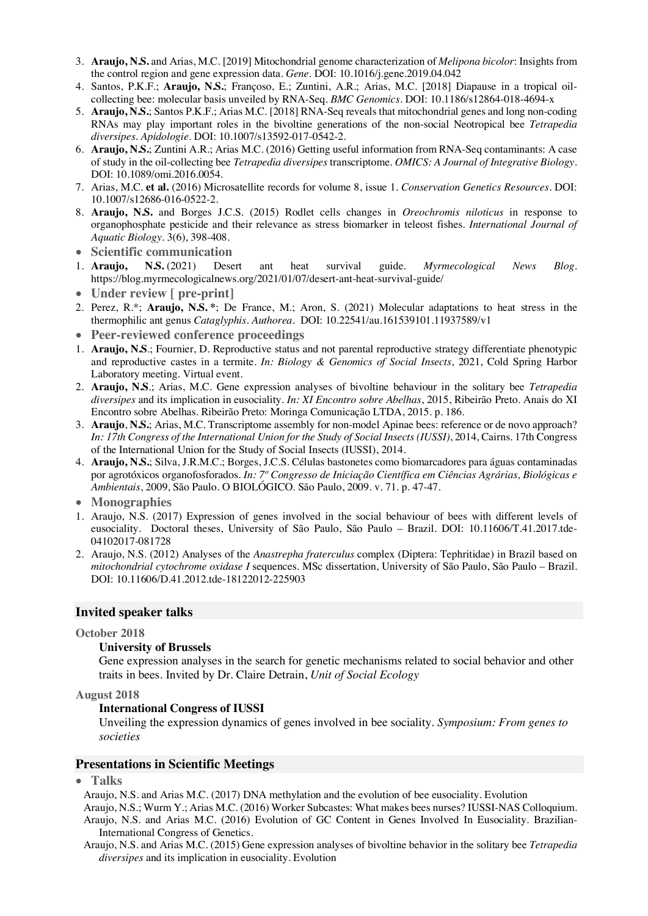- 3. **Araujo, N.S.** and Arias, M.C. [2019] Mitochondrial genome characterization of *Melipona bicolor*: Insights from the control region and gene expression data. *Gene*. DOI: 10.1016/j.gene.2019.04.042
- 4. Santos, P.K.F.; **Araujo, N.S.**; Françoso, E.; Zuntini, A.R.; Arias, M.C. [2018] Diapause in a tropical oilcollecting bee: molecular basis unveiled by RNA-Seq. *BMC Genomics*. DOI: 10.1186/s12864-018-4694-x
- 5. **Araujo, N.S.**; Santos P.K.F.; Arias M.C. [2018] RNA-Seq reveals that mitochondrial genes and long non-coding RNAs may play important roles in the bivoltine generations of the non-social Neotropical bee *Tetrapedia diversipes*. *Apidologie*. DOI: 10.1007/s13592-017-0542-2.
- 6. **Araujo, N.S.**; Zuntini A.R.; Arias M.C. (2016) Getting useful information from RNA-Seq contaminants: A case of study in the oil-collecting bee *Tetrapedia diversipes* transcriptome. *OMICS: A Journal of Integrative Biology*. DOI: 10.1089/omi.2016.0054.
- 7. Arias, M.C. **et al.** (2016) Microsatellite records for volume 8, issue 1. *Conservation Genetics Resources*. DOI: 10.1007/s12686-016-0522-2.
- 8. **Araujo, N.S.** and Borges J.C.S. (2015) Rodlet cells changes in *Oreochromis niloticus* in response to organophosphate pesticide and their relevance as stress biomarker in teleost fishes. *International Journal of Aquatic Biology*. 3(6), 398-408.
- **Scientific communication**
- 1. **Araujo, N.S.** (2021) Desert ant heat survival guide. *Myrmecological News Blog*. https://blog.myrmecologicalnews.org/2021/01/07/desert-ant-heat-survival-guide/
- **Under review [ pre-print]**
- 2. Perez, R.\*; **Araujo, N.S. \***; De France, M.; Aron, S. (2021) Molecular adaptations to heat stress in the thermophilic ant genus *Cataglyphis*. *Authorea*. DOI: 10.22541/au.161539101.11937589/v1
- **Peer-reviewed conference proceedings**
- 1. **Araujo, N.S**.; Fournier, D. Reproductive status and not parental reproductive strategy differentiate phenotypic and reproductive castes in a termite. *In: Biology & Genomics of Social Insects*, 2021, Cold Spring Harbor Laboratory meeting. Virtual event.
- 2. **Araujo, N.S**.; Arias, M.C. Gene expression analyses of bivoltine behaviour in the solitary bee *Tetrapedia diversipes* and its implication in eusociality. *In: XI Encontro sobre Abelhas*, 2015, Ribeirão Preto. Anais do XI Encontro sobre Abelhas. Ribeirão Preto: Moringa Comunicação LTDA, 2015. p. 186.
- 3. **Araujo**, **N.S.**; Arias, M.C. Transcriptome assembly for non-model Apinae bees: reference or de novo approach? *In: 17th Congress of the International Union for the Study of Social Insects (IUSSI)*, 2014, Cairns. 17th Congress of the International Union for the Study of Social Insects (IUSSI), 2014.
- 4. **Araujo, N.S.**; Silva, J.R.M.C.; Borges, J.C.S. Células bastonetes como biomarcadores para águas contaminadas por agrotóxicos organofosforados. *In: 7º Congresso de Iniciação Científica em Ciências Agrárias, Biológicas e Ambientais*, 2009, São Paulo. O BIOLÓGICO. São Paulo, 2009. v. 71. p. 47-47.
- **Monographies**
- 1. Araujo, N.S. (2017) Expression of genes involved in the social behaviour of bees with different levels of eusociality. Doctoral theses, University of São Paulo, São Paulo – Brazil. DOI: 10.11606/T.41.2017.tde-04102017-081728
- 2. Araujo, N.S. (2012) Analyses of the *Anastrepha fraterculus* complex (Diptera: Tephritidae) in Brazil based on *mitochondrial cytochrome oxidase I* sequences. MSc dissertation, University of São Paulo, São Paulo – Brazil. DOI: 10.11606/D.41.2012.tde-18122012-225903

## **Invited speaker talks**

#### **October 2018**

#### **University of Brussels**

Gene expression analyses in the search for genetic mechanisms related to social behavior and other traits in bees. Invited by Dr. Claire Detrain, *Unit of Social Ecology*

#### **August 2018**

## **International Congress of IUSSI**

Unveiling the expression dynamics of genes involved in bee sociality. *Symposium: From genes to societies*

## **Presentations in Scientific Meetings**

• **Talks**

Araujo, N.S. and Arias M.C. (2017) DNA methylation and the evolution of bee eusociality. Evolution

- Araujo, N.S.; Wurm Y.; Arias M.C. (2016) Worker Subcastes: What makes bees nurses? IUSSI-NAS Colloquium. Araujo, N.S. and Arias M.C. (2016) Evolution of GC Content in Genes Involved In Eusociality. Brazilian-International Congress of Genetics.
- Araujo, N.S. and Arias M.C. (2015) Gene expression analyses of bivoltine behavior in the solitary bee *Tetrapedia diversipes* and its implication in eusociality. Evolution